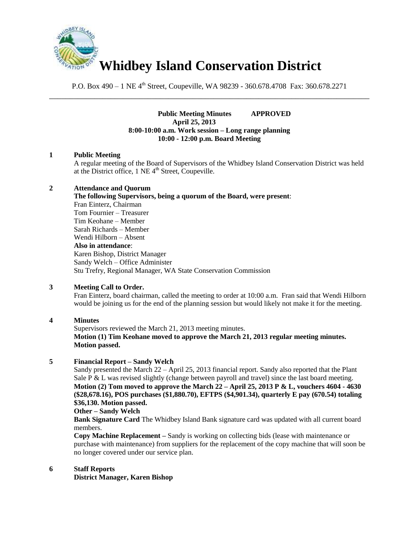

P.O. Box 490 – 1 NE 4<sup>th</sup> Street, Coupeville, WA 98239 - 360.678.4708 Fax: 360.678.2271 \_\_\_\_\_\_\_\_\_\_\_\_\_\_\_\_\_\_\_\_\_\_\_\_\_\_\_\_\_\_\_\_\_\_\_\_\_\_\_\_\_\_\_\_\_\_\_\_\_\_\_\_\_\_\_\_\_\_\_\_\_\_\_\_\_\_\_\_\_\_\_\_\_\_\_\_\_\_

> **Public Meeting Minutes APPROVED April 25, 2013 8:00-10:00 a.m. Work session – Long range planning 10:00 - 12:00 p.m. Board Meeting**

#### **1 Public Meeting**

A regular meeting of the Board of Supervisors of the Whidbey Island Conservation District was held at the District office,  $1$  NE  $4<sup>th</sup>$  Street, Coupeville.

#### **2 Attendance and Quorum**

**The following Supervisors, being a quorum of the Board, were present**: Fran Einterz, Chairman

Tom Fournier – Treasurer Tim Keohane – Member Sarah Richards – Member Wendi Hilborn – Absent

# **Also in attendance**:

Karen Bishop, District Manager Sandy Welch – Office Administer Stu Trefry, Regional Manager, WA State Conservation Commission

# **3 Meeting Call to Order.**

Fran Einterz, board chairman, called the meeting to order at 10:00 a.m. Fran said that Wendi Hilborn would be joining us for the end of the planning session but would likely not make it for the meeting.

#### **4 Minutes**

Supervisors reviewed the March 21, 2013 meeting minutes. **Motion (1) Tim Keohane moved to approve the March 21, 2013 regular meeting minutes. Motion passed.**

# **5 Financial Report – Sandy Welch**

Sandy presented the March 22 – April 25, 2013 financial report. Sandy also reported that the Plant Sale P & L was revised slightly (change between payroll and travel) since the last board meeting. **Motion (2) Tom moved to approve the March 22 – April 25, 2013 P & L, vouchers 4604 - 4630 (\$28,678.16), POS purchases (\$1,880.70), EFTPS (\$4,901.34), quarterly E pay (670.54) totaling \$36,130. Motion passed.** 

## **Other – Sandy Welch**

**Bank Signature Card** The Whidbey Island Bank signature card was updated with all current board members.

**Copy Machine Replacement –** Sandy is working on collecting bids (lease with maintenance or purchase with maintenance) from suppliers for the replacement of the copy machine that will soon be no longer covered under our service plan.

## **6 Staff Reports**

**District Manager, Karen Bishop**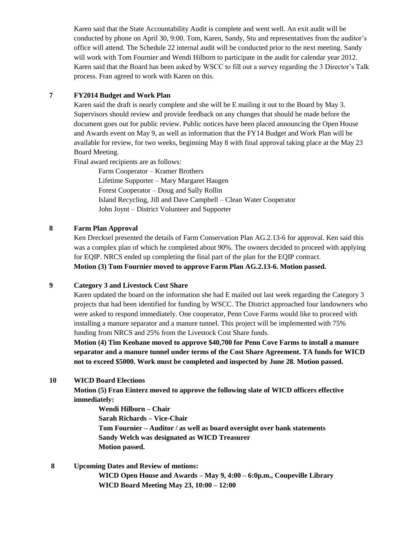Karen said that the State Accountability Audit is complete and went well. An exit audit will be conducted by phone on April 30, 9:00. Tom, Karen, Sandy, Stu and representatives from the auditor's office will attend. The Schedule 22 internal audit will be conducted prior to the next meeting. Sandy will work with Tom Fournier and Wendi Hilborn to participate in the audit for calendar year 2012. Karen said that the Board has been asked by WSCC to fill out a survey regarding the 3 Director's Talk process. Fran agreed to work with Karen on this.

# **7 FY2014 Budget and Work Plan**

Karen said the draft is nearly complete and she will be E mailing it out to the Board by May 3. Supervisors should review and provide feedback on any changes that should be made before the document goes out for public review. Public notices have been placed announcing the Open House and Awards event on May 9, as well as information that the FY14 Budget and Work Plan will be available for review, for two weeks, beginning May 8 with final approval taking place at the May 23 Board Meeting.

Final award recipients are as follows:

Farm Cooperator – Kramer Brothers Lifetime Supporter – Mary Margaret Haugen Forest Cooperator – Doug and Sally Rollin Island Recycling, Jill and Dave Campbell – Clean Water Cooperator John Joynt – District Volunteer and Supporter

#### **8 Farm Plan Approval**

Ken Drecksel presented the details of Farm Conservation Plan AG.2.13-6 for approval. Ken said this was a complex plan of which he completed about 90%. The owners decided to proceed with applying for EQIP. NRCS ended up completing the final part of the plan for the EQIP contract.

**Motion (3) Tom Fournier moved to approve Farm Plan AG.2.13-6. Motion passed.** 

# **9 Category 3 and Livestock Cost Share**

Karen updated the board on the information she had E mailed out last week regarding the Category 3 projects that had been identified for funding by WSCC. The District approached four landowners who were asked to respond immediately. One cooperator, Penn Cove Farms would like to proceed with installing a manure separator and a manure tunnel. This project will be implemented with 75% funding from NRCS and 25% from the Livestock Cost Share funds.

**Motion (4) Tim Keohane moved to approve \$40,700 for Penn Cove Farms to install a manure separator and a manure tunnel under terms of the Cost Share Agreement. TA funds for WICD not to exceed \$5000. Work must be completed and inspected by June 28. Motion passed.** 

# **10 WICD Board Elections**

**Motion (5) Fran Einterz moved to approve the following slate of WICD officers effective immediately:**

**Wendi Hilborn – Chair Sarah Richards – Vice-Chair Tom Fournier – Auditor / as well as board oversight over bank statements Sandy Welch was designated as WICD Treasurer Motion passed.** 

**8 Upcoming Dates and Review of motions: WICD Open House and Awards – May 9, 4:00 – 6:0p.m., Coupeville Library WICD Board Meeting May 23, 10:00 – 12:00**